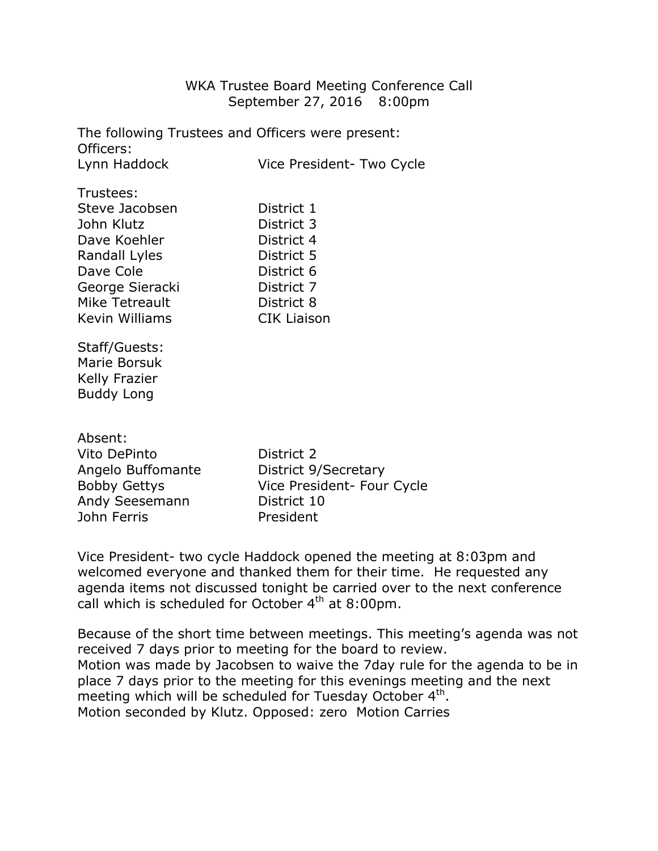## WKA Trustee Board Meeting Conference Call September 27, 2016 8:00pm

The following Trustees and Officers were present: Officers: Lynn Haddock Vice President- Two Cycle

| Trustees:       |                    |
|-----------------|--------------------|
| Steve Jacobsen  | District 1         |
| John Klutz      | District 3         |
| Dave Koehler    | District 4         |
| Randall Lyles   | District 5         |
| Dave Cole       | District 6         |
| George Sieracki | District 7         |
| Mike Tetreault  | District 8         |
| Kevin Williams  | <b>CIK Liaison</b> |
|                 |                    |

Staff/Guests: Marie Borsuk Kelly Frazier Buddy Long

Absent:

Vito DePinto **District 2** Andy Seesemann District 10 John Ferris President

Angelo Buffomante District 9/Secretary Bobby Gettys **Vice President- Four Cycle** 

Vice President- two cycle Haddock opened the meeting at 8:03pm and welcomed everyone and thanked them for their time. He requested any agenda items not discussed tonight be carried over to the next conference call which is scheduled for October 4<sup>th</sup> at 8:00pm.

Because of the short time between meetings. This meeting's agenda was not received 7 days prior to meeting for the board to review. Motion was made by Jacobsen to waive the 7day rule for the agenda to be in place 7 days prior to the meeting for this evenings meeting and the next meeting which will be scheduled for Tuesday October  $4<sup>th</sup>$ . Motion seconded by Klutz. Opposed: zero Motion Carries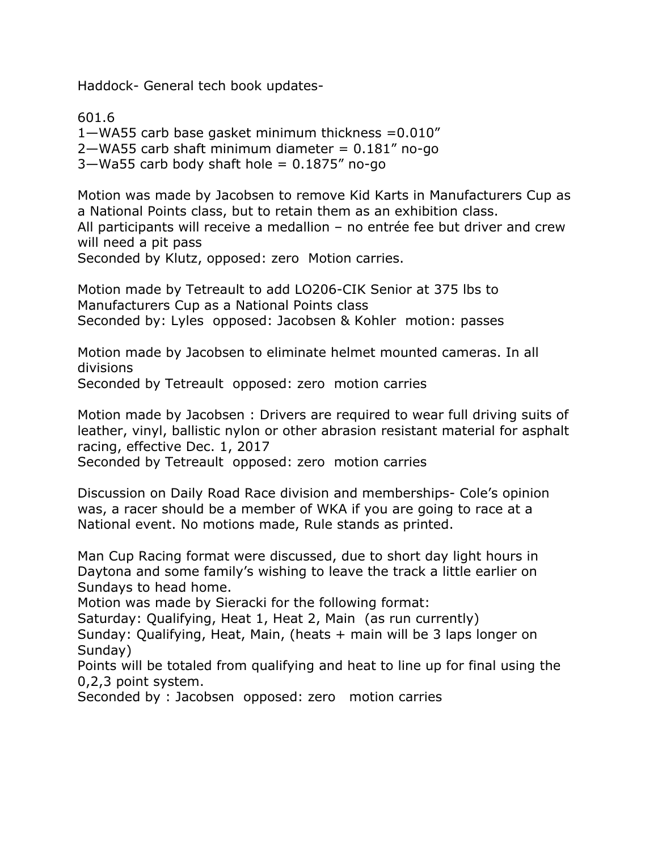Haddock- General tech book updates-

601.6 1—WA55 carb base gasket minimum thickness =0.010"  $2$ —WA55 carb shaft minimum diameter =  $0.181$ " no-go  $3$ —Wa55 carb body shaft hole = 0.1875" no-go

Motion was made by Jacobsen to remove Kid Karts in Manufacturers Cup as a National Points class, but to retain them as an exhibition class. All participants will receive a medallion – no entrée fee but driver and crew will need a pit pass Seconded by Klutz, opposed: zero Motion carries.

Motion made by Tetreault to add LO206-CIK Senior at 375 lbs to Manufacturers Cup as a National Points class Seconded by: Lyles opposed: Jacobsen & Kohler motion: passes

Motion made by Jacobsen to eliminate helmet mounted cameras. In all divisions

Seconded by Tetreault opposed: zero motion carries

Motion made by Jacobsen : Drivers are required to wear full driving suits of leather, vinyl, ballistic nylon or other abrasion resistant material for asphalt racing, effective Dec. 1, 2017

Seconded by Tetreault opposed: zero motion carries

Discussion on Daily Road Race division and memberships- Cole's opinion was, a racer should be a member of WKA if you are going to race at a National event. No motions made, Rule stands as printed.

Man Cup Racing format were discussed, due to short day light hours in Daytona and some family's wishing to leave the track a little earlier on Sundays to head home.

Motion was made by Sieracki for the following format:

Saturday: Qualifying, Heat 1, Heat 2, Main (as run currently)

Sunday: Qualifying, Heat, Main, (heats + main will be 3 laps longer on Sunday)

Points will be totaled from qualifying and heat to line up for final using the 0,2,3 point system.

Seconded by : Jacobsen opposed: zero motion carries